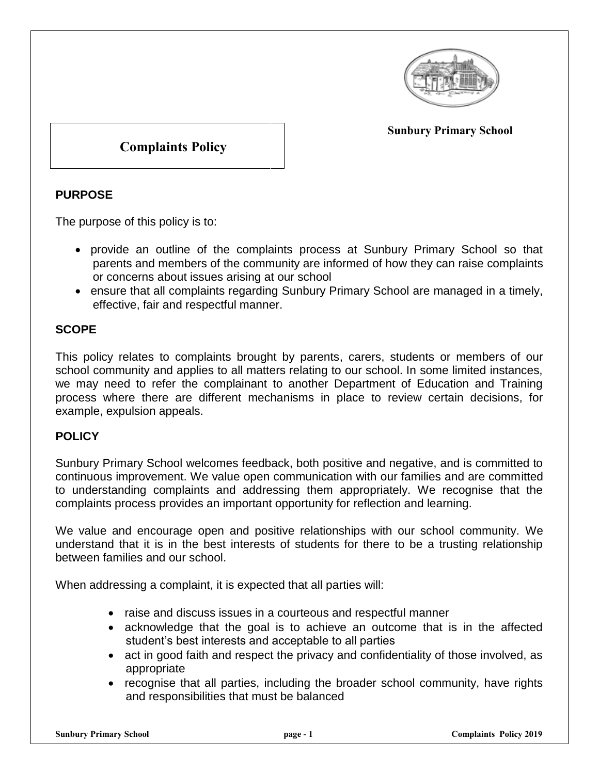

#### **Sunbury Primary School**

# **Complaints Policy**

# **PURPOSE**

The purpose of this policy is to:

- provide an outline of the complaints process at Sunbury Primary School so that parents and members of the community are informed of how they can raise complaints or concerns about issues arising at our school
- ensure that all complaints regarding Sunbury Primary School are managed in a timely, effective, fair and respectful manner.

# **SCOPE**

This policy relates to complaints brought by parents, carers, students or members of our school community and applies to all matters relating to our school. In some limited instances, we may need to refer the complainant to another Department of Education and Training process where there are different mechanisms in place to review certain decisions, for example, expulsion appeals.

## **POLICY**

Sunbury Primary School welcomes feedback, both positive and negative, and is committed to continuous improvement. We value open communication with our families and are committed to understanding complaints and addressing them appropriately. We recognise that the complaints process provides an important opportunity for reflection and learning.

We value and encourage open and positive relationships with our school community. We understand that it is in the best interests of students for there to be a trusting relationship between families and our school.

When addressing a complaint, it is expected that all parties will:

- raise and discuss issues in a courteous and respectful manner
- acknowledge that the goal is to achieve an outcome that is in the affected student's best interests and acceptable to all parties
- act in good faith and respect the privacy and confidentiality of those involved, as appropriate
- recognise that all parties, including the broader school community, have rights and responsibilities that must be balanced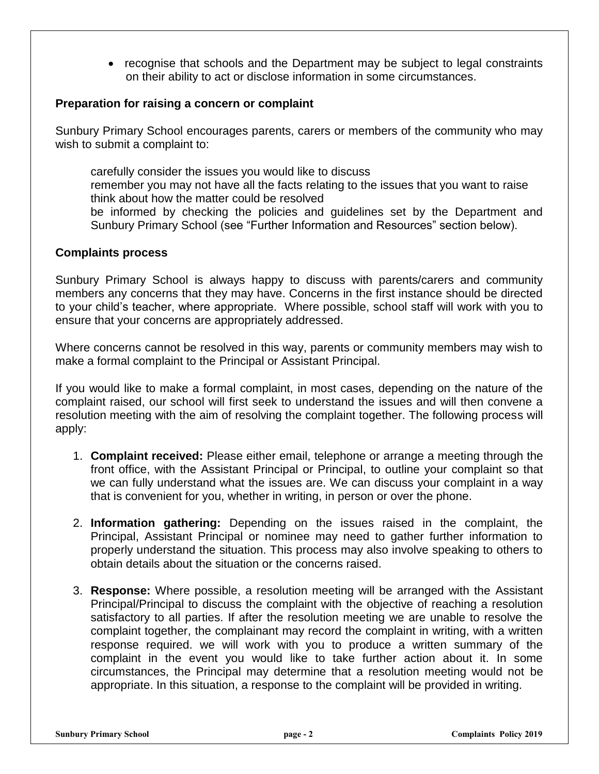• recognise that schools and the Department may be subject to legal constraints on their ability to act or disclose information in some circumstances.

#### **Preparation for raising a concern or complaint**

Sunbury Primary School encourages parents, carers or members of the community who may wish to submit a complaint to:

carefully consider the issues you would like to discuss remember you may not have all the facts relating to the issues that you want to raise think about how the matter could be resolved be informed by checking the policies and guidelines set by the Department and Sunbury Primary School (see "Further Information and Resources" section below).

#### **Complaints process**

Sunbury Primary School is always happy to discuss with parents/carers and community members any concerns that they may have. Concerns in the first instance should be directed to your child's teacher, where appropriate. Where possible, school staff will work with you to ensure that your concerns are appropriately addressed.

Where concerns cannot be resolved in this way, parents or community members may wish to make a formal complaint to the Principal or Assistant Principal.

If you would like to make a formal complaint, in most cases, depending on the nature of the complaint raised, our school will first seek to understand the issues and will then convene a resolution meeting with the aim of resolving the complaint together. The following process will apply:

- 1. **Complaint received:** Please either email, telephone or arrange a meeting through the front office, with the Assistant Principal or Principal, to outline your complaint so that we can fully understand what the issues are. We can discuss your complaint in a way that is convenient for you, whether in writing, in person or over the phone.
- 2. **Information gathering:** Depending on the issues raised in the complaint, the Principal, Assistant Principal or nominee may need to gather further information to properly understand the situation. This process may also involve speaking to others to obtain details about the situation or the concerns raised.
- 3. **Response:** Where possible, a resolution meeting will be arranged with the Assistant Principal/Principal to discuss the complaint with the objective of reaching a resolution satisfactory to all parties. If after the resolution meeting we are unable to resolve the complaint together, the complainant may record the complaint in writing, with a written response required. we will work with you to produce a written summary of the complaint in the event you would like to take further action about it. In some circumstances, the Principal may determine that a resolution meeting would not be appropriate. In this situation, a response to the complaint will be provided in writing.